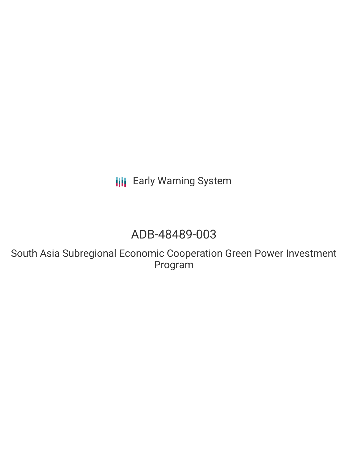**III** Early Warning System

# ADB-48489-003

South Asia Subregional Economic Cooperation Green Power Investment Program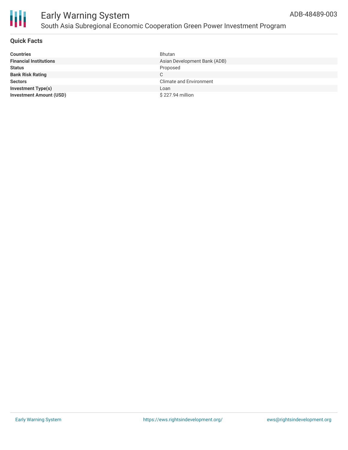

# Early Warning System South Asia Subregional Economic Cooperation Green Power Investment Program

| <b>Countries</b>               | Bhutan                         |
|--------------------------------|--------------------------------|
| <b>Financial Institutions</b>  | Asian Development Bank (ADB)   |
| <b>Status</b>                  | Proposed                       |
| <b>Bank Risk Rating</b>        | C                              |
| <b>Sectors</b>                 | <b>Climate and Environment</b> |
| <b>Investment Type(s)</b>      | Loan                           |
| <b>Investment Amount (USD)</b> | \$227.94 million               |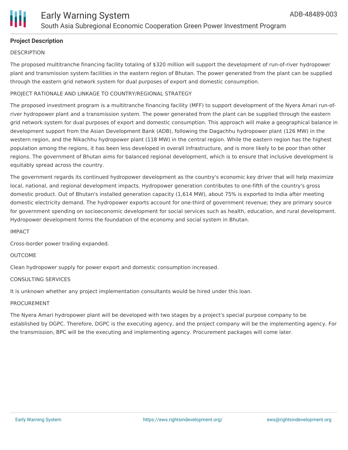

# **Project Description**

# **DESCRIPTION**

The proposed multitranche financing facility totaling of \$320 million will support the development of run-of-river hydropower plant and transmission system facilities in the eastern region of Bhutan. The power generated from the plant can be supplied through the eastern grid network system for dual purposes of export and domestic consumption.

# PROJECT RATIONALE AND LINKAGE TO COUNTRY/REGIONAL STRATEGY

The proposed investment program is a multitranche financing facility (MFF) to support development of the Nyera Amari run-ofriver hydropower plant and a transmission system. The power generated from the plant can be supplied through the eastern grid network system for dual purposes of export and domestic consumption. This approach will make a geographical balance in development support from the Asian Development Bank (ADB), following the Dagachhu hydropower plant (126 MW) in the western region, and the Nikachhu hydropower plant (118 MW) in the central region. While the eastern region has the highest population among the regions, it has been less developed in overall infrastructure, and is more likely to be poor than other regions. The government of Bhutan aims for balanced regional development, which is to ensure that inclusive development is equitably spread across the country.

The government regards its continued hydropower development as the country's economic key driver that will help maximize local, national, and regional development impacts. Hydropower generation contributes to one-fifth of the country's gross domestic product. Out of Bhutan's installed generation capacity (1,614 MW), about 75% is exported to India after meeting domestic electricity demand. The hydropower exports account for one-third of government revenue; they are primary source for government spending on socioeconomic development for social services such as health, education, and rural development. Hydropower development forms the foundation of the economy and social system in Bhutan.

#### IMPACT

Cross-border power trading expanded.

#### OUTCOME

Clean hydropower supply for power export and domestic consumption increased.

#### CONSULTING SERVICES

It is unknown whether any project implementation consultants would be hired under this loan.

#### PROCUREMENT

The Nyera Amari hydropower plant will be developed with two stages by a project's special purpose company to be established by DGPC. Therefore, DGPC is the executing agency, and the project company will be the implementing agency. For the transmission, BPC will be the executing and implementing agency. Procurement packages will come later.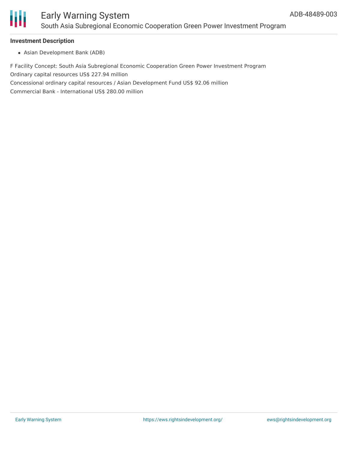

## **Investment Description**

Asian Development Bank (ADB)

F Facility Concept: South Asia Subregional Economic Cooperation Green Power Investment Program Ordinary capital resources US\$ 227.94 million Concessional ordinary capital resources / Asian Development Fund US\$ 92.06 million Commercial Bank - International US\$ 280.00 million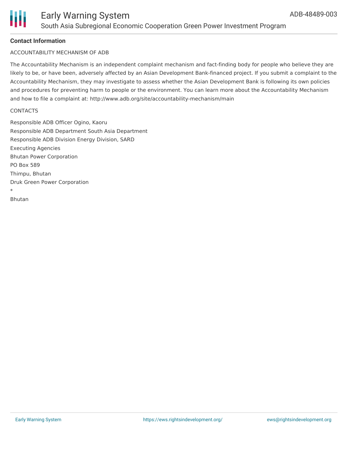

# **Contact Information**

## ACCOUNTABILITY MECHANISM OF ADB

The Accountability Mechanism is an independent complaint mechanism and fact-finding body for people who believe they are likely to be, or have been, adversely affected by an Asian Development Bank-financed project. If you submit a complaint to the Accountability Mechanism, they may investigate to assess whether the Asian Development Bank is following its own policies and procedures for preventing harm to people or the environment. You can learn more about the Accountability Mechanism and how to file a complaint at: http://www.adb.org/site/accountability-mechanism/main

#### **CONTACTS**

Responsible ADB Officer Ogino, Kaoru Responsible ADB Department South Asia Department Responsible ADB Division Energy Division, SARD Executing Agencies Bhutan Power Corporation PO Box 589 Thimpu, Bhutan Druk Green Power Corporation \*

Bhutan